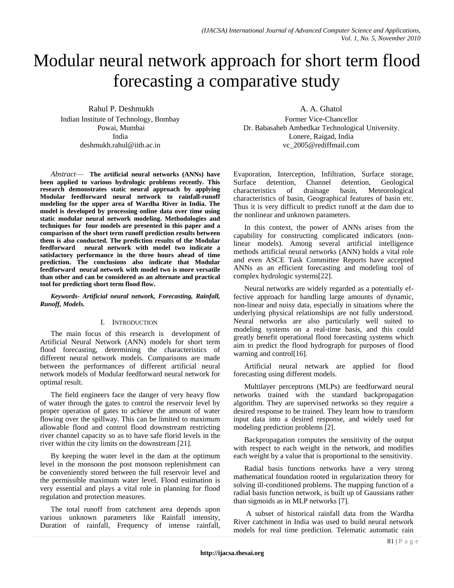# Modular neural network approach for short term flood forecasting a comparative study

Rahul P. Deshmukh Indian Institute of Technology, Bombay Powai, Mumbai India deshmukh.rahul@iitb.ac.in

*Abstract*— **The artificial neural networks (ANNs) have been applied to various hydrologic problems recently. This research demonstrates static neural approach by applying Modular feedforward neural network to rainfall-runoff modeling for the upper area of Wardha River in India. The model is developed by processing online data over time using static modular neural network modeling. Methodologies and techniques for four models are presented in this paper and a comparison of the short term runoff prediction results between them is also conducted. The prediction results of the Modular feedforward neural network with model two indicate a satisfactory performance in the three hours ahead of time prediction. The conclusions also indicate that Modular feedforward neural network with model two is more versatile than other and can be considered as an alternate and practical tool for predicting short term flood flow.**

*Keywords- Artificial neural network, Forecasting, Rainfall, Runoff, Models.* 

# I. INTRODUCTION

The main focus of this research is development of Artificial Neural Network (ANN) models for short term flood forecasting, determining the characteristics of different neural network models. Comparisons are made between the performances of different artificial neural network models of Modular feedforward neural network for optimal result.

The field engineers face the danger of very heavy flow of water through the gates to control the reservoir level by proper operation of gates to achieve the amount of water flowing over the spillway. This can be limited to maximum allowable flood and control flood downstream restricting river channel capacity so as to have safe florid levels in the river within the city limits on the downstream [21].

By keeping the water level in the dam at the optimum level in the monsoon the post monsoon replenishment can be conveniently stored between the full reservoir level and the permissible maximum water level. Flood estimation is very essential and plays a vital role in planning for flood regulation and protection measures.

The total runoff from catchment area depends upon various unknown parameters like Rainfall intensity, Duration of rainfall, Frequency of intense rainfall, A. A. Ghatol

Former Vice-Chancellor Dr. Babasaheb Ambedkar Technological University, Lonere, Raigad, India vc\_2005@rediffmail.com

Evaporation, Interception, Infiltration, Surface storage, Surface detention, Channel detention, Geological characteristics of drainage basin, Meteorological characteristics of basin, Geographical features of basin etc. Thus it is very difficult to predict runoff at the dam due to the nonlinear and unknown parameters.

In this context, the power of ANNs arises from the capability for constructing complicated indicators (nonlinear models). Among several artificial intelligence methods artificial neural networks (ANN) holds a vital role and even ASCE Task Committee Reports have accepted ANNs as an efficient forecasting and modeling tool of complex hydrologic systems[22].

Neural networks are widely regarded as a potentially effective approach for handling large amounts of dynamic, non-linear and noisy data, especially in situations where the underlying physical relationships are not fully understood. Neural networks are also particularly well suited to modeling systems on a real-time basis, and this could greatly benefit operational flood forecasting systems which aim to predict the flood hydrograph for purposes of flood warning and control[16].

Artificial neural netwark are applied for flood forecasting using different models.

Multilayer perceptrons (MLPs) are feedforward neural networks trained with the standard backpropagation algorithm. They are supervised networks so they require a desired response to be trained. They learn how to transform input data into a desired response, and widely used for modeling prediction problems [2].

Backpropagation computes the sensitivity of the output with respect to each weight in the network, and modifies each weight by a value that is proportional to the sensitivity.

Radial basis functions networks have a very strong mathematical foundation rooted in regularization theory for solving ill-conditioned problems. The mapping function of a radial basis function network, is built up of Gaussians rather than sigmoids as in MLP networks [7].

A subset of historical rainfall data from the Wardha River catchment in India was used to build neural network models for real time prediction. Telematic automatic rain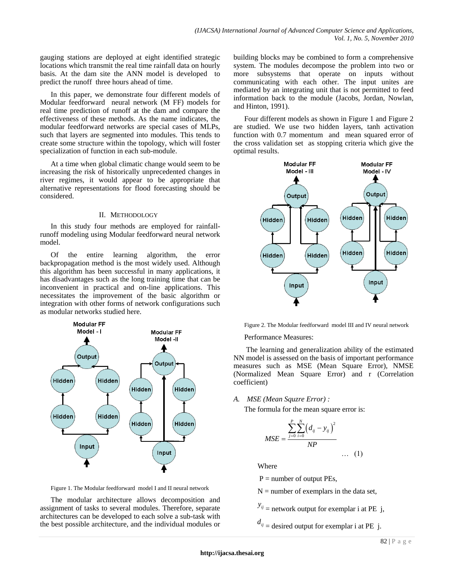gauging stations are deployed at eight identified strategic locations which transmit the real time rainfall data on hourly basis. At the dam site the ANN model is developed to predict the runoff three hours ahead of time.

In this paper, we demonstrate four different models of Modular feedforward neural network (M FF) models for real time prediction of runoff at the dam and compare the effectiveness of these methods. As the name indicates, the modular feedforward networks are special cases of MLPs, such that layers are segmented into modules. This tends to create some structure within the topology, which will foster specialization of function in each sub-module.

At a time when global climatic change would seem to be increasing the risk of historically unprecedented changes in river regimes, it would appear to be appropriate that alternative representations for flood forecasting should be considered.

# II. METHODOLOGY

In this study four methods are employed for rainfallrunoff modeling using Modular feedforward neural network model.

Of the entire learning algorithm, the error backpropagation method is the most widely used. Although this algorithm has been successful in many applications, it has disadvantages such as the long training time that can be inconvenient in practical and on-line applications. This necessitates the improvement of the basic algorithm or integration with other forms of network configurations such as modular networks studied here.



Figure 1. The Modular feedforward model I and II neural network

The modular architecture allows decomposition and assignment of tasks to several modules. Therefore, separate architectures can be developed to each solve a sub-task with the best possible architecture, and the individual modules or building blocks may be combined to form a comprehensive system. The modules decompose the problem into two or more subsystems that operate on inputs without communicating with each other. The input unites are mediated by an integrating unit that is not permitted to feed information back to the module (Jacobs, Jordan, Nowlan, and Hinton, 1991).

Four different models as shown in Figure 1 and Figure 2 are studied. We use two hidden layers, tanh activation function with 0.7 momentum and mean squared error of the cross validation set as stopping criteria which give the optimal results.



Figure 2. The Modular feedforward model III and IV neural network

Performance Measures:

The learning and generalization ability of the estimated NN model is assessed on the basis of important performance measures such as MSE (Mean Square Error), NMSE (Normalized Mean Square Error) and r (Correlation coefficient)

*A. MSE (Mean Squzre Error) :*

The formula for the mean square error is:

$$
MSE = \frac{\sum_{j=0}^{P} \sum_{i=0}^{N} (d_{ij} - y_{ij})^{2}}{NP}
$$
 ... (1)

Where

 $P =$  number of output PEs,

 $N =$  number of exemplars in the data set,

 $y_{ij}$  = network output for exemplar i at PE j,

 $d_{ij}$  = desired output for exemplar i at PE j.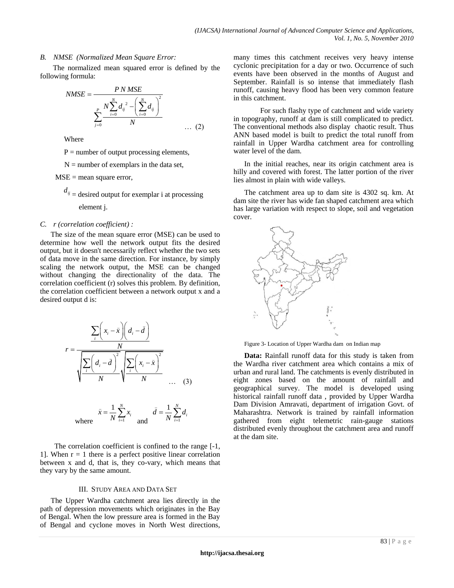# *B. NMSE (Normalized Mean Square Error:*

 The normalized mean squared error is defined by the following formula:

$$
NMSE = \frac{PN MSE}{\sum_{j=0}^{P} N \sum_{i=0}^{N} d_{ij}^{2} - (\sum_{i=0}^{N} d_{ij})^{2}}
$$
\n
$$
\sum_{j=0}^{P} \frac{N \sum_{i=0}^{N} d_{ij}^{2} - (\sum_{i=0}^{N} d_{ij})^{2}}{N}
$$
\n(2)

Where

 $P =$  number of output processing elements,

 $N =$  number of exemplars in the data set,

 $MSE =$  mean square error,

 $d_{ij}$  = desired output for exemplar i at processing element j.

## *C. r (correlation coefficient) :*

The size of the mean square error (MSE) can be used to determine how well the network output fits the desired output, but it doesn't necessarily reflect whether the two sets of data move in the same direction. For instance, by simply scaling the network output, the MSE can be changed without changing the directionality of the data. The correlation coefficient (r) solves this problem. By definition, the correlation coefficient between a network output x and a desired output d is:

$$
r = \frac{\sum_{i} \left(x_i - \bar{x}\right) \left(d_i - \bar{d}\right)}{\sqrt{\frac{\sum_{i} \left(d_i - \bar{d}\right)^2}{N} \sqrt{\frac{\sum_{i} \left(x_i - \bar{x}\right)^2}{N} \dots (3)}}
$$

where 
$$
\bar{x} = \frac{1}{N} \sum_{i=1}^{N} x_i
$$
 and  $\bar{d} = \frac{1}{N} \sum_{i=1}^{N} d_i$ 

 The correlation coefficient is confined to the range [-1, 1]. When  $r = 1$  there is a perfect positive linear correlation between x and d, that is, they co-vary, which means that they vary by the same amount.

## III. STUDY AREA AND DATA SET

The Upper Wardha catchment area lies directly in the path of depression movements which originates in the Bay of Bengal. When the low pressure area is formed in the Bay of Bengal and cyclone moves in North West directions, many times this catchment receives very heavy intense cyclonic precipitation for a day or two. Occurrence of such events have been observed in the months of August and September. Rainfall is so intense that immediately flash runoff, causing heavy flood has been very common feature in this catchment.

For such flashy type of catchment and wide variety in topography, runoff at dam is still complicated to predict. The conventional methods also display chaotic result. Thus ANN based model is built to predict the total runoff from rainfall in Upper Wardha catchment area for controlling water level of the dam.

In the initial reaches, near its origin catchment area is hilly and covered with forest. The latter portion of the river lies almost in plain with wide valleys.

The catchment area up to dam site is 4302 [sq. km.](http://sq.km/) At dam site the river has wide fan shaped catchment area which has large variation with respect to slope, soil and vegetation cover.



Figure 3- Location of Upper Wardha dam on Indian map

**Data:** Rainfall runoff data for this study is taken from the Wardha river catchment area which contains a mix of urban and rural land. The catchments is evenly distributed in eight zones based on the amount of rainfall and geographical survey. The model is developed using historical rainfall runoff data , provided by Upper Wardha Dam Division Amravati, department of irrigation Govt. of Maharashtra. Network is trained by rainfall information gathered from eight telemetric rain-gauge stations distributed evenly throughout the catchment area and runoff at the dam site.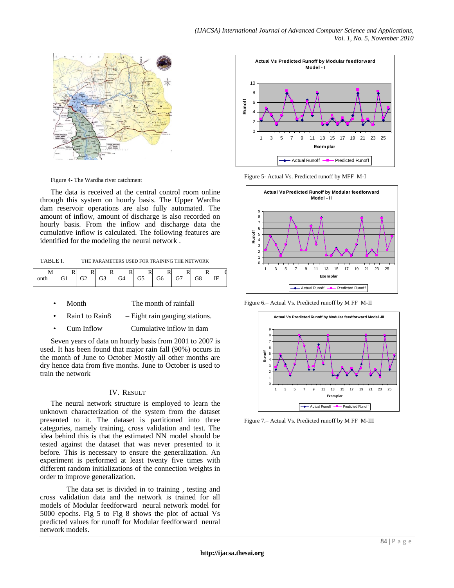

Figure 4- The Wardha river catchment

The data is received at the central control room online through this system on hourly basis. The Upper Wardha dam reservoir operations are also fully automated. The amount of inflow, amount of discharge is also recorded on hourly basis. From the inflow and discharge data the cumulative inflow is calculated. The following features are identified for the modeling the neural network .

TABLE I. THE PARAMETERS USED FOR TRAINING THE NETWORK

| $\blacksquare$<br>D<br><b>IVI</b><br>T.<br>×,<br>G6<br>G4<br>G3<br>77<br>G2<br>G8<br>onth<br>$\mathbf{r}$<br>Œ<br>◡ | ، H<br> |
|---------------------------------------------------------------------------------------------------------------------|---------|
|---------------------------------------------------------------------------------------------------------------------|---------|

- Month The month of rainfall
- Rain1 to Rain8  $-$  Eight rain gauging stations.
- Cum Inflow Cumulative inflow in dam

Seven years of data on hourly basis from 2001 to 2007 is used. It has been found that major rain fall (90%) occurs in the month of June to October Mostly all other months are dry hence data from five months. June to October is used to train the network

# IV. RESULT

The neural network structure is employed to learn the unknown characterization of the system from the dataset presented to it. The dataset is partitioned into three categories, namely training, cross validation and test. The idea behind this is that the estimated NN model should be tested against the dataset that was never presented to it before. This is necessary to ensure the generalization. An experiment is performed at least twenty five times with different random initializations of the connection weights in order to improve generalization.

The data set is divided in to training , testing and cross validation data and the network is trained for all models of Modular feedforward neural network model for 5000 epochs. Fig 5 to Fig 8 shows the plot of actual Vs predicted values for runoff for Modular feedforward neural network models.



Figure 5- Actual Vs. Predicted runoff by MFF M-I



Figure 6.– Actual Vs. Predicted runoff by M FF M-II



Figure 7.– Actual Vs. Predicted runoff by M FF M-III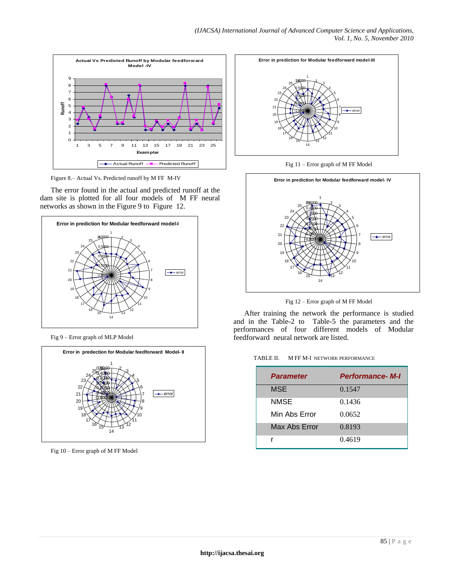

Figure 8.– Actual Vs. Predicted runoff by M FF M-IV

The error found in the actual and predicted runoff at the dam site is plotted for all four models of M FF neural networks as shown in the Figure 9 to Figure 12.



Fig 9 – Error graph of MLP Model



Fig 10 – Error graph of M FF Model



Fig 11 – Error graph of M FF Model



Fig 12 – Error graph of M FF Model

After training the network the performance is studied and in the Table-2 to Table-5 the parameters and the performances of four different models of Modular feedforward neural network are listed.

| TABLE II. | M FF M-I NETWORK PERFORMANCE |
|-----------|------------------------------|

| <b>Parameter</b> | <b>Performance-M-I</b> |
|------------------|------------------------|
| <b>MSE</b>       | 0.1547                 |
| <b>NMSE</b>      | 0.1436                 |
| Min Abs Error    | 0.0652                 |
| Max Abs Error    | 0.8193                 |
|                  | 0.4619                 |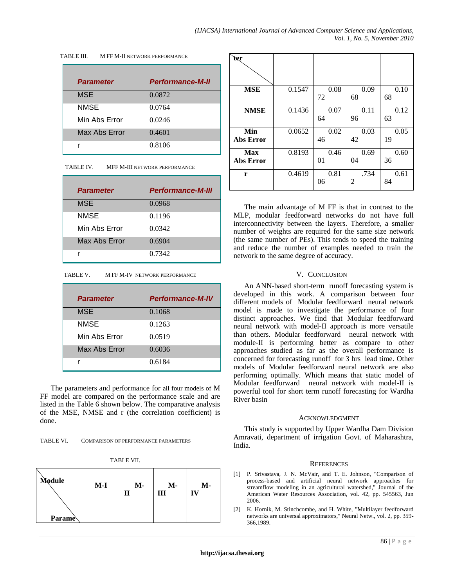| TABLE III. |  | M FF M-II NETWORK PERFORMANCE |
|------------|--|-------------------------------|
|            |  |                               |

| <b>Parameter</b> | <b>Performance-M-II</b> |
|------------------|-------------------------|
| <b>MSE</b>       | 0.0872                  |
| <b>NMSE</b>      | 0.0764                  |
| Min Abs Error    | 0.0246                  |
| Max Abs Error    | 0.4601                  |
|                  | 0.8106                  |

| TABLE IV. | MFF M-III NETWORK PERFORMANCE |
|-----------|-------------------------------|
|           |                               |

| <b>Parameter</b> | <b>Performance-M-III</b> |
|------------------|--------------------------|
| <b>MSE</b>       | 0.0968                   |
| <b>NMSE</b>      | 0.1196                   |
| Min Abs Error    | 0.0342                   |
| Max Abs Error    | 0.6904                   |
|                  | 0.7342                   |

TABLE V. M FF M-IV NETWORK PERFORMANCE

| <b>Parameter</b> | <b>Performance-M-IV</b> |
|------------------|-------------------------|
| <b>MSE</b>       | 0.1068                  |
| <b>NMSE</b>      | 0.1263                  |
| Min Abs Error    | 0.0519                  |
| Max Abs Error    | 0.6036                  |
|                  | 0.6184                  |

The parameters and performance for all four models of M FF model are compared on the performance scale and are listed in the Table 6 shown below. The comparative analysis of the MSE, NMSE and r (the correlation coefficient) is done.

| TABLE VI. | <b>COMPARISON OF PERFORMANCE PARAMETERS</b> |
|-----------|---------------------------------------------|
|           |                                             |

| RI<br>. . |
|-----------|
|-----------|

| Module        | $M-I$ | $M -$ | М-<br>Ш | M- |
|---------------|-------|-------|---------|----|
| <b>Parame</b> |       |       |         |    |

| ter                     |        |            |            |            |
|-------------------------|--------|------------|------------|------------|
| <b>MSE</b>              | 0.1547 | 0.08<br>72 | 0.09<br>68 | 0.10<br>68 |
| <b>NMSE</b>             | 0.1436 | 0.07<br>64 | 0.11<br>96 | 0.12<br>63 |
| Min<br>Abs Error        | 0.0652 | 0.02<br>46 | 0.03<br>42 | 0.05<br>19 |
| <b>Max</b><br>Abs Error | 0.8193 | 0.46<br>01 | 0.69<br>04 | 0.60<br>36 |
| r                       | 0.4619 | 0.81<br>06 | .734<br>2  | 0.61<br>84 |

The main advantage of M FF is that in contrast to the MLP, modular feedforward networks do not have full interconnectivity between the layers. Therefore, a smaller number of weights are required for the same size network (the same number of PEs). This tends to speed the training and reduce the number of examples needed to train the network to the same degree of accuracy.

## V. CONCLUSION

An ANN-based short-term runoff forecasting system is developed in this work. A comparison between four different models of Modular feedforward neural network model is made to investigate the performance of four distinct approaches. We find that Modular feedforward neural network with model-II approach is more versatile than others. Modular feedforward neural network with module-II is performing better as compare to other approaches studied as far as the overall performance is concerned for forecasting runoff for 3 hrs lead time. Other models of Modular feedforward neural network are also performing optimally. Which means that static model of Modular feedforward neural network with model-II is powerful tool for short term runoff forecasting for Wardha River basin

### ACKNOWLEDGMENT

This study is supported by Upper Wardha Dam Division Amravati, department of irrigation Govt. of Maharashtra, India.

### **REFERENCES**

- [1] P. Srivastava, J. N. McVair, and T. E. Johnson, "Comparison of process-based and artificial neural network approaches for streamflow modeling in an agricultural watershed," Journal of the American Water Resources Association, vol. 42, pp. 545563, Jun 2006.
- [2] K. Hornik, M. Stinchcombe, and H. White, "Multilayer feedforward networks are universal approximators," Neural Netw., vol. 2, pp. 359- 366,1989.